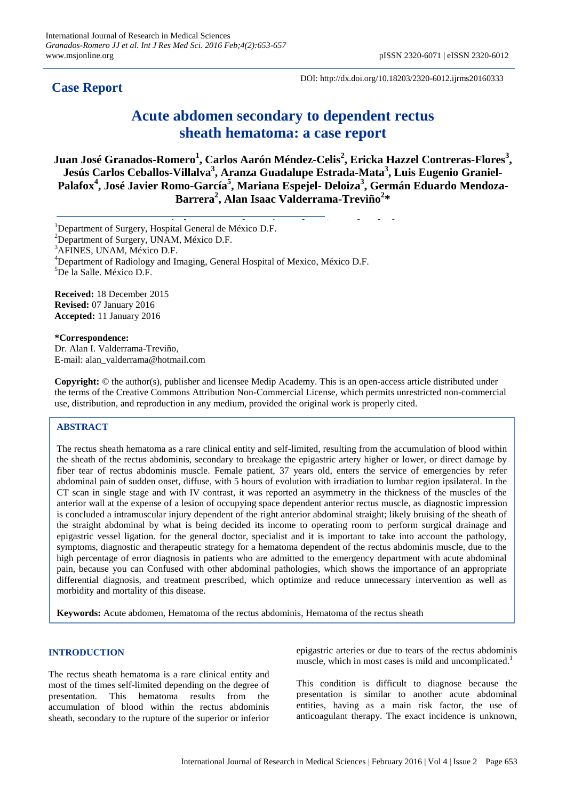**Case Report**

DOI: http://dx.doi.org/10.18203/2320-6012.ijrms20160333

# **Acute abdomen secondary to dependent rectus sheath hematoma: a case report**

**Juan José Granados-Romero<sup>1</sup> , Carlos Aarón Méndez-Celis<sup>2</sup> , Ericka Hazzel Contreras-Flores<sup>3</sup> , Jesús Carlos Ceballos-Villalva<sup>3</sup> , Aranza Guadalupe Estrada-Mata<sup>3</sup> , Luis Eugenio Graniel-Palafox<sup>4</sup> , José Javier Romo-García<sup>5</sup> , Mariana Espejel- Deloiza<sup>3</sup> , Germán Eduardo Mendoza-Barrera<sup>2</sup> , Alan Isaac Valderrama-Treviño<sup>2</sup> \***

<sup>1</sup>Department of Surgery, Hospital General de México D.F.

<sup>2</sup>Department of Surgery, UNAM, México D.F.

 ${}^{3}$ AFINES, UNAM, México D.F.

<sup>4</sup>Department of Radiology and Imaging, General Hospital of Mexico, México D.F.

<sup>5</sup>De la Salle. México D.F.

**Received:** 18 December 2015 **Revised:** 07 January 2016 **Accepted:** 11 January 2016

## **\*Correspondence:**

Dr. Alan I. Valderrama-Treviño, E-mail: alan\_valderrama@hotmail.com

**Copyright:** © the author(s), publisher and licensee Medip Academy. This is an open-access article distributed under the terms of the Creative Commons Attribution Non-Commercial License, which permits unrestricted non-commercial use, distribution, and reproduction in any medium, provided the original work is properly cited.

# **ABSTRACT**

The rectus sheath hematoma as a rare clinical entity and self-limited, resulting from the accumulation of blood within the sheath of the rectus abdominis, secondary to breakage the epigastric artery higher or lower, or direct damage by fiber tear of rectus abdominis muscle. Female patient, 37 years old, enters the service of emergencies by refer abdominal pain of sudden onset, diffuse, with 5 hours of evolution with irradiation to lumbar region ipsilateral. In the CT scan in single stage and with IV contrast, it was reported an asymmetry in the thickness of the muscles of the anterior wall at the expense of a lesion of occupying space dependent anterior rectus muscle, as diagnostic impression is concluded a intramuscular injury dependent of the right anterior abdominal straight; likely bruising of the sheath of the straight abdominal by what is being decided its income to operating room to perform surgical drainage and epigastric vessel ligation. for the general doctor, specialist and it is important to take into account the pathology, symptoms, diagnostic and therapeutic strategy for a hematoma dependent of the rectus abdominis muscle, due to the high percentage of error diagnosis in patients who are admitted to the emergency department with acute abdominal pain, because you can Confused with other abdominal pathologies, which shows the importance of an appropriate differential diagnosis, and treatment prescribed, which optimize and reduce unnecessary intervention as well as morbidity and mortality of this disease.

**Keywords:** Acute abdomen, Hematoma of the rectus abdominis, Hematoma of the rectus sheath

# **INTRODUCTION**

The rectus sheath hematoma is a rare clinical entity and most of the times self-limited depending on the degree of presentation. This hematoma results from the accumulation of blood within the rectus abdominis sheath, secondary to the rupture of the superior or inferior epigastric arteries or due to tears of the rectus abdominis muscle, which in most cases is mild and uncomplicated.<sup>1</sup>

This condition is difficult to diagnose because the presentation is similar to another acute abdominal entities, having as a main risk factor, the use of anticoagulant therapy. The exact incidence is unknown,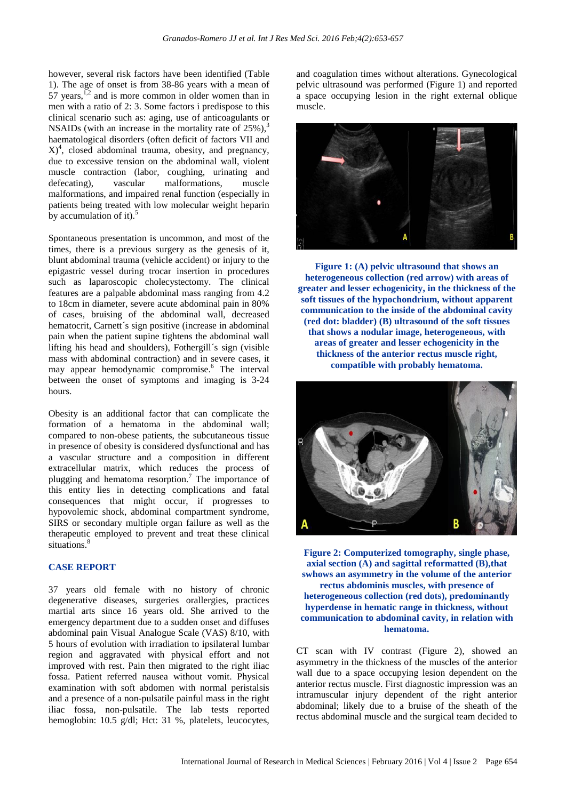however, several risk factors have been identified (Table 1). The age of onset is from 38-86 years with a mean of 57 years,  $\frac{1}{2}$  and is more common in older women than in men with a ratio of 2: 3. Some factors i predispose to this clinical scenario such as: aging, use of anticoagulants or NSAIDs (with an increase in the mortality rate of 25%), 3 haematological disorders (often deficit of factors VII and  $(X)$ <sup>4</sup>, closed abdominal trauma, obesity, and pregnancy, due to excessive tension on the abdominal wall, violent muscle contraction (labor, coughing, urinating and defecating), vascular malformations, muscle malformations, and impaired renal function (especially in patients being treated with low molecular weight heparin by accumulation of it). $5$ 

Spontaneous presentation is uncommon, and most of the times, there is a previous surgery as the genesis of it, blunt abdominal trauma (vehicle accident) or injury to the epigastric vessel during trocar insertion in procedures such as laparoscopic cholecystectomy. The clinical features are a palpable abdominal mass ranging from 4.2 to 18cm in diameter, severe acute abdominal pain in 80% of cases, bruising of the abdominal wall, decreased hematocrit, Carnett´s sign positive (increase in abdominal pain when the patient supine tightens the abdominal wall lifting his head and shoulders), Fothergill´s sign (visible mass with abdominal contraction) and in severe cases, it may appear hemodynamic compromise. <sup>6</sup> The interval between the onset of symptoms and imaging is 3-24 hours.

Obesity is an additional factor that can complicate the formation of a hematoma in the abdominal wall; compared to non-obese patients, the subcutaneous tissue in presence of obesity is considered dysfunctional and has a vascular structure and a composition in different extracellular matrix, which reduces the process of plugging and hematoma resorption.<sup>7</sup> The importance of this entity lies in detecting complications and fatal consequences that might occur, if progresses to hypovolemic shock, abdominal compartment syndrome, SIRS or secondary multiple organ failure as well as the therapeutic employed to prevent and treat these clinical situations.<sup>8</sup>

# **CASE REPORT**

37 years old female with no history of chronic degenerative diseases, surgeries orallergies, practices martial arts since 16 years old. She arrived to the emergency department due to a sudden onset and diffuses abdominal pain Visual Analogue Scale (VAS) 8/10, with 5 hours of evolution with irradiation to ipsilateral lumbar region and aggravated with physical effort and not improved with rest. Pain then migrated to the right iliac fossa. Patient referred nausea without vomit. Physical examination with soft abdomen with normal peristalsis and a presence of a non-pulsatile painful mass in the right iliac fossa, non-pulsatile. The lab tests reported hemoglobin: 10.5 g/dl; Hct: 31 %, platelets, leucocytes,

and coagulation times without alterations. Gynecological pelvic ultrasound was performed (Figure 1) and reported a space occupying lesion in the right external oblique muscle.



**Figure 1: (A) pelvic ultrasound that shows an heterogeneous collection (red arrow) with areas of greater and lesser echogenicity, in the thickness of the soft tissues of the hypochondrium, without apparent communication to the inside of the abdominal cavity (red dot: bladder) (B) ultrasound of the soft tissues that shows a nodular image, heterogeneous, with areas of greater and lesser echogenicity in the thickness of the anterior rectus muscle right, compatible with probably hematoma.**



**Figure 2: Computerized tomography, single phase, axial section (A) and sagittal reformatted (B),that swhows an asymmetry in the volume of the anterior rectus abdominis muscles, with presence of heterogeneous collection (red dots), predominantly hyperdense in hematic range in thickness, without communication to abdominal cavity, in relation with hematoma.**

CT scan with IV contrast (Figure 2), showed an asymmetry in the thickness of the muscles of the anterior wall due to a space occupying lesion dependent on the anterior rectus muscle. First diagnostic impression was an intramuscular injury dependent of the right anterior abdominal; likely due to a bruise of the sheath of the rectus abdominal muscle and the surgical team decided to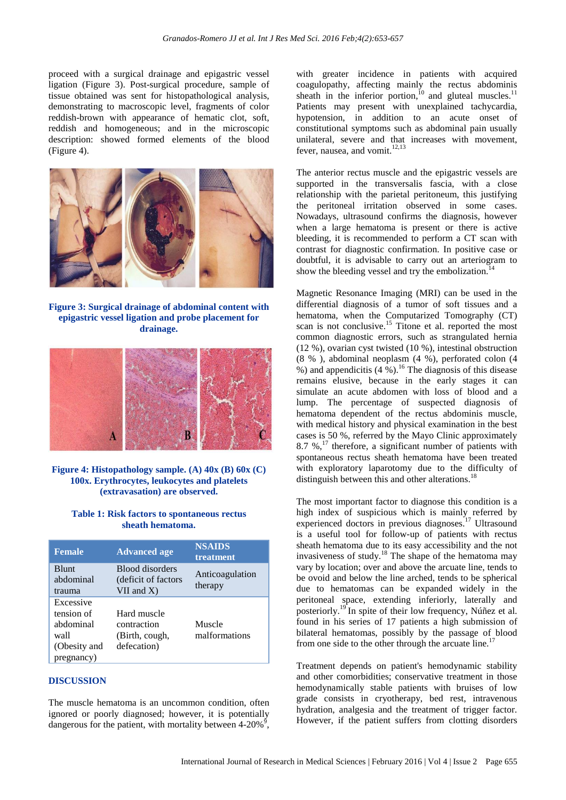proceed with a surgical drainage and epigastric vessel ligation (Figure 3). Post-surgical procedure, sample of tissue obtained was sent for histopathological analysis, demonstrating to macroscopic level, fragments of color reddish-brown with appearance of hematic clot, soft, reddish and homogeneous; and in the microscopic description: showed formed elements of the blood (Figure 4).



**Figure 3: Surgical drainage of abdominal content with epigastric vessel ligation and probe placement for drainage.**



**Figure 4: Histopathology sample. (A) 40x (B) 60x (C) 100x. Erythrocytes, leukocytes and platelets (extravasation) are observed.**

#### **Table 1: Risk factors to spontaneous rectus sheath hematoma.**

| <b>Female</b>                                                              | <b>Advanced age</b>                                              | <b>NSAIDS</b><br>treatment |
|----------------------------------------------------------------------------|------------------------------------------------------------------|----------------------------|
| <b>Blunt</b><br>abdominal<br>trauma                                        | <b>Blood disorders</b><br>(deficit of factors<br>$VII$ and $X$ ) | Anticoagulation<br>therapy |
| Excessive<br>tension of<br>abdominal<br>wall<br>(Obesity and<br>pregnancy) | Hard muscle<br>contraction<br>(Birth, cough,<br>defecation)      | Muscle<br>malformations    |

## **DISCUSSION**

The muscle hematoma is an uncommon condition, often ignored or poorly diagnosed; however, it is potentially dangerous for the patient, with mortality between  $4-20\%$ ,

with greater incidence in patients with acquired coagulopathy, affecting mainly the rectus abdominis sheath in the inferior portion,  $\frac{10}{10}$  and gluteal muscles.<sup>11</sup> Patients may present with unexplained tachycardia, hypotension, in addition to an acute onset of constitutional symptoms such as abdominal pain usually unilateral, severe and that increases with movement, fever, nausea, and vomit.<sup>12,13</sup>

The anterior rectus muscle and the epigastric vessels are supported in the transversalis fascia, with a close relationship with the parietal peritoneum, this justifying the peritoneal irritation observed in some cases. Nowadays, ultrasound confirms the diagnosis, however when a large hematoma is present or there is active bleeding, it is recommended to perform a CT scan with contrast for diagnostic confirmation. In positive case or doubtful, it is advisable to carry out an arteriogram to show the bleeding vessel and try the embolization.<sup>14</sup>

Magnetic Resonance Imaging (MRI) can be used in the differential diagnosis of a tumor of soft tissues and a hematoma, when the Computarized Tomography (CT) scan is not conclusive.<sup>15</sup> Titone et al. reported the most common diagnostic errors, such as strangulated hernia (12 %), ovarian cyst twisted (10 %), intestinal obstruction (8 % ), abdominal neoplasm (4 %), perforated colon (4 %) and appendicitis  $(4\%)$ .<sup>16</sup> The diagnosis of this disease remains elusive, because in the early stages it can simulate an acute abdomen with loss of blood and a lump. The percentage of suspected diagnosis of hematoma dependent of the rectus abdominis muscle, with medical history and physical examination in the best cases is 50 %, referred by the Mayo Clinic approximately 8.7 %, <sup>17</sup> therefore, a significant number of patients with spontaneous rectus sheath hematoma have been treated with exploratory laparotomy due to the difficulty of distinguish between this and other alterations.<sup>18</sup>

The most important factor to diagnose this condition is a high index of suspicious which is mainly referred by experienced doctors in previous diagnoses. <sup>17</sup> Ultrasound is a useful tool for follow-up of patients with rectus sheath hematoma due to its easy accessibility and the not invasiveness of study. <sup>18</sup> The shape of the hematoma may vary by location; over and above the arcuate line, tends to be ovoid and below the line arched, tends to be spherical due to hematomas can be expanded widely in the peritoneal space, extending inferiorly, laterally and posteriorly.<sup>19</sup> In spite of their low frequency, Núñez et al. found in his series of 17 patients a high submission of bilateral hematomas, possibly by the passage of blood from one side to the other through the arcuate line.<sup>17</sup>

Treatment depends on patient's hemodynamic stability and other comorbidities; conservative treatment in those hemodynamically stable patients with bruises of low grade consists in cryotherapy, bed rest, intravenous hydration, analgesia and the treatment of trigger factor. However, if the patient suffers from clotting disorders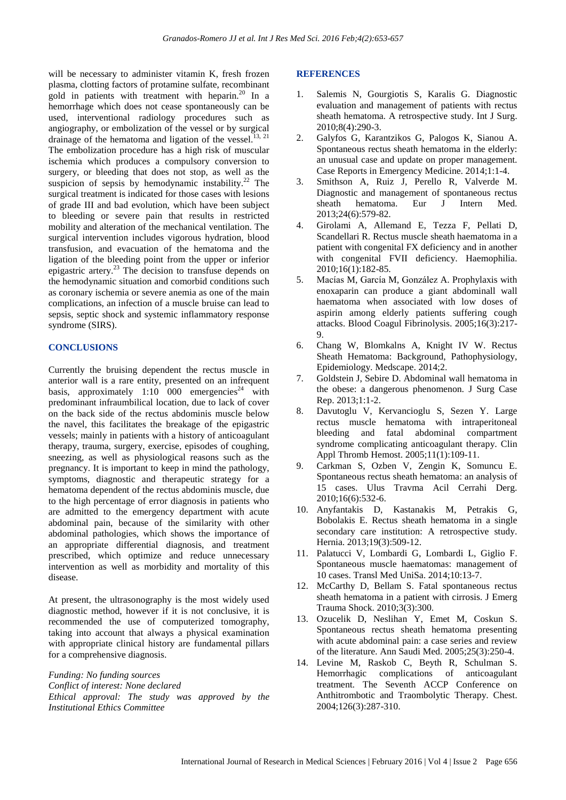will be necessary to administer vitamin K, fresh frozen plasma, clotting factors of protamine sulfate, recombinant gold in patients with treatment with heparin.<sup>20</sup> In a hemorrhage which does not cease spontaneously can be used, interventional radiology procedures such as angiography, or embolization of the vessel or by surgical drainage of the hematoma and ligation of the vessel.<sup>13, 21</sup> The embolization procedure has a high risk of muscular ischemia which produces a compulsory conversion to surgery, or bleeding that does not stop, as well as the suspicion of sepsis by hemodynamic instability.<sup>22</sup> The surgical treatment is indicated for those cases with lesions of grade III and bad evolution, which have been subject to bleeding or severe pain that results in restricted mobility and alteration of the mechanical ventilation. The surgical intervention includes vigorous hydration, blood transfusion, and evacuation of the hematoma and the ligation of the bleeding point from the upper or inferior epigastric artery.<sup>23</sup> The decision to transfuse depends on the hemodynamic situation and comorbid conditions such as coronary ischemia or severe anemia as one of the main complications, an infection of a muscle bruise can lead to sepsis, septic shock and systemic inflammatory response syndrome (SIRS).

#### **CONCLUSIONS**

Currently the bruising dependent the rectus muscle in anterior wall is a rare entity, presented on an infrequent basis, approximately  $1:10$  000 emergencies<sup>24</sup> with predominant infraumbilical location, due to lack of cover on the back side of the rectus abdominis muscle below the navel, this facilitates the breakage of the epigastric vessels; mainly in patients with a history of anticoagulant therapy, trauma, surgery, exercise, episodes of coughing, sneezing, as well as physiological reasons such as the pregnancy. It is important to keep in mind the pathology, symptoms, diagnostic and therapeutic strategy for a hematoma dependent of the rectus abdominis muscle, due to the high percentage of error diagnosis in patients who are admitted to the emergency department with acute abdominal pain, because of the similarity with other abdominal pathologies, which shows the importance of an appropriate differential diagnosis, and treatment prescribed, which optimize and reduce unnecessary intervention as well as morbidity and mortality of this disease.

At present, the ultrasonography is the most widely used diagnostic method, however if it is not conclusive, it is recommended the use of computerized tomography, taking into account that always a physical examination with appropriate clinical history are fundamental pillars for a comprehensive diagnosis.

*Funding: No funding sources Conflict of interest: None declared Ethical approval: The study was approved by the Institutional Ethics Committee*

#### **REFERENCES**

- 1. Salemis N, Gourgiotis S, Karalis G. Diagnostic evaluation and management of patients with rectus sheath hematoma. A retrospective study. Int J Surg. 2010;8(4):290-3.
- 2. Galyfos G, Karantzikos G, Palogos K, Sianou A. Spontaneous rectus sheath hematoma in the elderly: an unusual case and update on proper management. Case Reports in Emergency Medicine. 2014;1:1-4.
- 3. Smithson A, Ruiz J, Perello R, Valverde M. Diagnostic and management of spontaneous rectus sheath hematoma. Eur J Intern Med. 2013;24(6):579-82.
- 4. Girolami A, Allemand E, Tezza F, Pellati D, Scandellari R. Rectus muscle sheath haematoma in a patient with congenital FX deficiency and in another with congenital FVII deficiency. Haemophilia. 2010;16(1):182-85.
- 5. Macías M, García M, González A. Prophylaxis with enoxaparin can produce a giant abdominall wall haematoma when associated with low doses of aspirin among elderly patients suffering cough attacks. Blood Coagul Fibrinolysis. 2005;16(3):217- 9.
- 6. Chang W, Blomkalns A, Knight IV W. Rectus Sheath Hematoma: Background, Pathophysiology, Epidemiology. Medscape. 2014;2.
- 7. Goldstein J, Sebire D. Abdominal wall hematoma in the obese: a dangerous phenomenon. J Surg Case Rep. 2013;1:1-2.
- 8. Davutoglu V, Kervancioglu S, Sezen Y. Large rectus muscle hematoma with intraperitoneal bleeding and fatal abdominal compartment syndrome complicating anticoagulant therapy. Clin Appl Thromb Hemost. 2005;11(1):109-11.
- 9. Carkman S, Ozben V, Zengin K, Somuncu E. Spontaneous rectus sheath hematoma: an analysis of 15 cases. Ulus Travma Acil Cerrahi Derg. 2010;16(6):532-6.
- 10. Anyfantakis D, Kastanakis M, Petrakis G, Bobolakis E. Rectus sheath hematoma in a single secondary care institution: A retrospective study. Hernia. 2013;19(3):509-12.
- 11. Palatucci V, Lombardi G, Lombardi L, Giglio F. Spontaneous muscle haematomas: management of 10 cases. Transl Med UniSa. 2014;10:13-7.
- 12. McCarthy D, Bellam S. Fatal spontaneous rectus sheath hematoma in a patient with cirrosis. J Emerg Trauma Shock. 2010;3(3):300.
- 13. Ozucelik D, Neslihan Y, Emet M, Coskun S. Spontaneous rectus sheath hematoma presenting with acute abdominal pain: a case series and review of the literature. Ann Saudi Med. 2005;25(3):250-4.
- 14. Levine M, Raskob C, Beyth R, Schulman S. Hemorrhagic complications of anticoagulant treatment. The Seventh ACCP Conference on Anthitrombotic and Traombolytic Therapy. Chest. 2004;126(3):287-310.